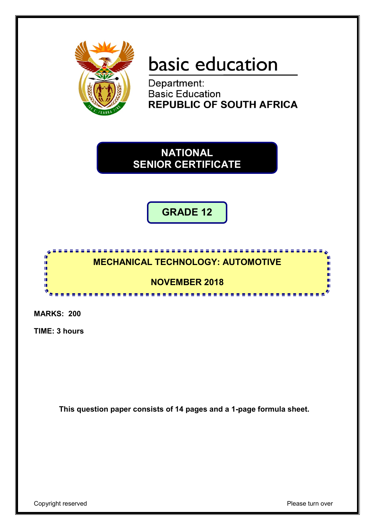

# basic education

Department: **Basic Education REPUBLIC OF SOUTH AFRICA** 

**NATIONAL SENIOR CERTIFICATE**

**GRADE 12**



**MARKS: 200**

**TIME: 3 hours**

**This question paper consists of 14 pages and a 1-page formula sheet.**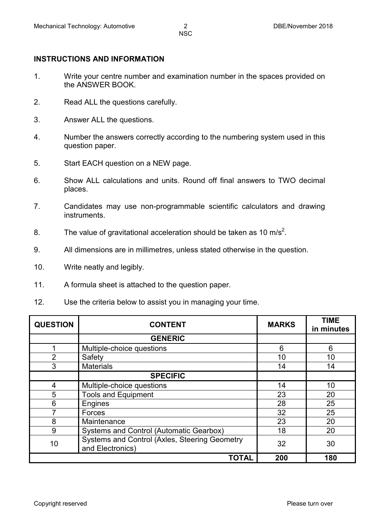## **INSTRUCTIONS AND INFORMATION**

- 1. Write your centre number and examination number in the spaces provided on the ANSWER BOOK.
- 2. Read ALL the questions carefully.
- 3. Answer ALL the questions.
- 4. Number the answers correctly according to the numbering system used in this question paper.
- 5. Start EACH question on a NEW page.
- 6. Show ALL calculations and units. Round off final answers to TWO decimal places.
- 7. Candidates may use non-programmable scientific calculators and drawing instruments.
- 8. The value of gravitational acceleration should be taken as 10 m/s<sup>2</sup>.
- 9. All dimensions are in millimetres, unless stated otherwise in the question.
- 10. Write neatly and legibly.
- 11. A formula sheet is attached to the question paper.
- 12. Use the criteria below to assist you in managing your time.

| <b>QUESTION</b> | <b>CONTENT</b>                                                    | <b>MARKS</b> | <b>TIME</b><br>in minutes |
|-----------------|-------------------------------------------------------------------|--------------|---------------------------|
|                 | <b>GENERIC</b>                                                    |              |                           |
|                 | Multiple-choice questions                                         | 6            | 6                         |
| $\overline{2}$  | Safety                                                            | 10           | 10                        |
| 3               | <b>Materials</b>                                                  | 14           | 14                        |
|                 | <b>SPECIFIC</b>                                                   |              |                           |
| 4               | Multiple-choice questions                                         | 14           | 10                        |
| 5               | <b>Tools and Equipment</b>                                        | 23           | 20                        |
| 6               | Engines                                                           | 28           | 25                        |
|                 | Forces                                                            | 32           | 25                        |
| 8               | Maintenance                                                       | 23           | 20                        |
| 9               | <b>Systems and Control (Automatic Gearbox)</b>                    | 18           | 20                        |
| 10              | Systems and Control (Axles, Steering Geometry<br>and Electronics) | 32           | 30                        |
|                 | <b>TOTAL</b>                                                      | 200          | 180                       |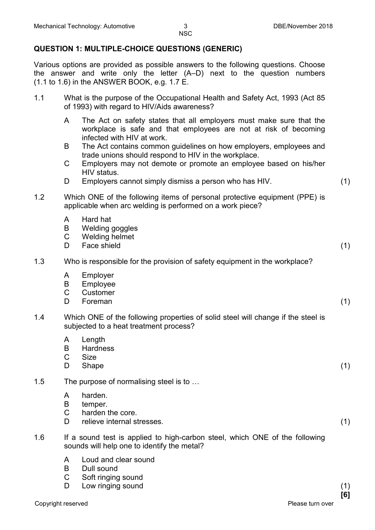# **QUESTION 1: MULTIPLE-CHOICE QUESTIONS (GENERIC)**

Various options are provided as possible answers to the following questions. Choose the answer and write only the letter (A–D) next to the question numbers (1.1 to 1.6) in the ANSWER BOOK, e.g. 1.7 E.

- 1.1 What is the purpose of the Occupational Health and Safety Act, 1993 (Act 85 of 1993) with regard to HIV/Aids awareness?
	- A The Act on safety states that all employers must make sure that the workplace is safe and that employees are not at risk of becoming infected with HIV at work.
	- B The Act contains common guidelines on how employers, employees and trade unions should respond to HIV in the workplace.
	- $\mathcal{C}$ Employers may not demote or promote an employee based on his/her HIV status.
	- D Employers cannot simply dismiss a person who has HIV. (1)
- 1.2 Which ONE of the following items of personal protective equipment (PPE) is applicable when arc welding is performed on a work piece?
	- A Hard hat
	- B Welding goggles
	- $\mathcal{C}$ Welding helmet
	- D. Face shield (1) (1)
- 1.3 Who is responsible for the provision of safety equipment in the workplace?
	- A Employer
	- B Employee
	- C Customer
	- D. Foreman (1)
- 1.4 Which ONE of the following properties of solid steel will change if the steel is subjected to a heat treatment process?
	- A Length
	- B **Hardness**
	- $\mathcal{C}$ Size
	- D Shape (1)
- 1.5 The purpose of normalising steel is to …
	- A harden.
	- B temper.
	- $\mathcal{C}$ harden the core.
	- D. relieve internal stresses. (1)
- 1.6 If a sound test is applied to high-carbon steel, which ONE of the following sounds will help one to identify the metal?
	- A Loud and clear sound
	- B Dull sound
	- C Soft ringing sound
	- D. Low ringing sound (1) (1)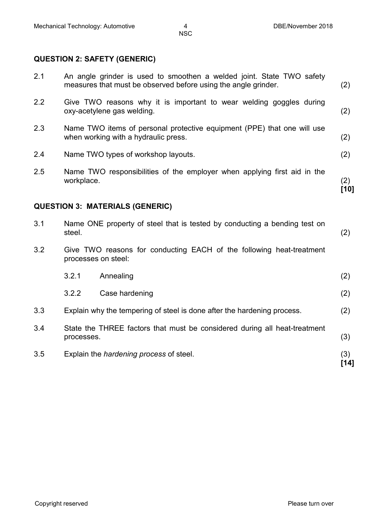# **QUESTION 2: SAFETY (GENERIC)**

| 2.1 |                                                                                         | An angle grinder is used to smoothen a welded joint. State TWO safety<br>measures that must be observed before using the angle grinder. | (2)           |
|-----|-----------------------------------------------------------------------------------------|-----------------------------------------------------------------------------------------------------------------------------------------|---------------|
| 2.2 |                                                                                         | Give TWO reasons why it is important to wear welding goggles during<br>oxy-acetylene gas welding.                                       | (2)           |
| 2.3 |                                                                                         | Name TWO items of personal protective equipment (PPE) that one will use<br>when working with a hydraulic press.                         | (2)           |
| 2.4 |                                                                                         | Name TWO types of workshop layouts.                                                                                                     | (2)           |
| 2.5 | workplace.                                                                              | Name TWO responsibilities of the employer when applying first aid in the                                                                | (2)<br>$[10]$ |
|     |                                                                                         | <b>QUESTION 3: MATERIALS (GENERIC)</b>                                                                                                  |               |
| 3.1 | steel.                                                                                  | Name ONE property of steel that is tested by conducting a bending test on                                                               | (2)           |
| 3.2 | processes on steel:                                                                     | Give TWO reasons for conducting EACH of the following heat-treatment                                                                    |               |
|     | 3.2.1                                                                                   | Annealing                                                                                                                               | (2)           |
|     | 3.2.2                                                                                   | Case hardening                                                                                                                          | (2)           |
| 3.3 |                                                                                         | Explain why the tempering of steel is done after the hardening process.                                                                 | (2)           |
| 3.4 | State the THREE factors that must be considered during all heat-treatment<br>processes. |                                                                                                                                         | (3)           |
| 3.5 |                                                                                         | Explain the <i>hardening process</i> of steel.                                                                                          | (3)<br>[14]   |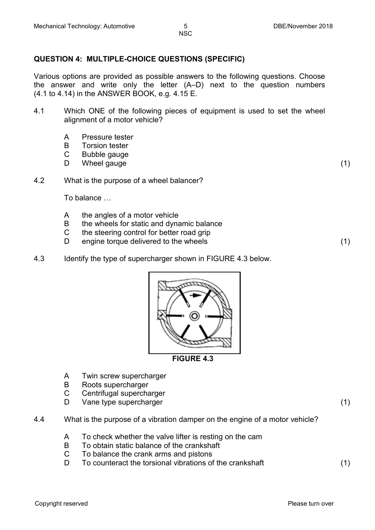#### **QUESTION 4: MULTIPLE-CHOICE QUESTIONS (SPECIFIC)**

Various options are provided as possible answers to the following questions. Choose the answer and write only the letter (A–D) next to the question numbers (4.1 to 4.14) in the ANSWER BOOK, e.g. 4.15 E.

- 4.1 Which ONE of the following pieces of equipment is used to set the wheel alignment of a motor vehicle?
	- A Pressure tester
	- B Torsion tester
	- C Bubble gauge
	- D Wheel gauge (1) (1)
- 4.2 What is the purpose of a wheel balancer?

To balance …

- A the angles of a motor vehicle
- B the wheels for static and dynamic balance
- $\mathcal{C}$ the steering control for better road grip
- D engine torque delivered to the wheels (1)
- 4.3 Identify the type of supercharger shown in FIGURE 4.3 below.



A Twin screw supercharger

- B Roots supercharger
- C Centrifugal supercharger
- D<sub>1</sub> Vane type supercharger (1) (1)

- 4.4 What is the purpose of a vibration damper on the engine of a motor vehicle?
	- A To check whether the valve lifter is resting on the cam
	- B To obtain static balance of the crankshaft
	- $\mathcal{C}$ To balance the crank arms and pistons
	- D<sub>1</sub> To counteract the torsional vibrations of the crankshaft (1)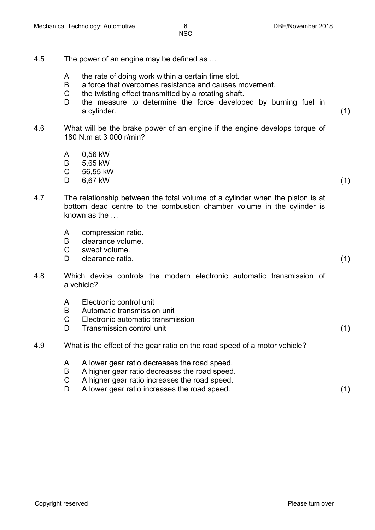- 4.5 The power of an engine may be defined as …
	- A the rate of doing work within a certain time slot.
	- B a force that overcomes resistance and causes movement.
	- C the twisting effect transmitted by a rotating shaft.
	- D. the measure to determine the force developed by burning fuel in a cylinder. (1)
- 4.6 What will be the brake power of an engine if the engine develops torque of 180 N.m at 3 000 r/min?
	- A 0,56 kW
	- B 5,65 kW
	- C 56,55 kW
	- D  $6,67$  kW (1)
		-
- 4.7 The relationship between the total volume of a cylinder when the piston is at bottom dead centre to the combustion chamber volume in the cylinder is known as the …
	- A compression ratio.
	- B clearance volume.
	- C swept volume.
	- D. clearance ratio. (1)
- 4.8 Which device controls the modern electronic automatic transmission of a vehicle?
	- A Electronic control unit
	- B Automatic transmission unit
	- $\mathcal{C}$ Electronic automatic transmission
	- D. Transmission control unit (1) (1)
- 4.9 What is the effect of the gear ratio on the road speed of a motor vehicle?
	- A A lower gear ratio decreases the road speed.
	- B A higher gear ratio decreases the road speed.
	- $\mathcal{C}$ A higher gear ratio increases the road speed.
	- D A lower gear ratio increases the road speed. (1)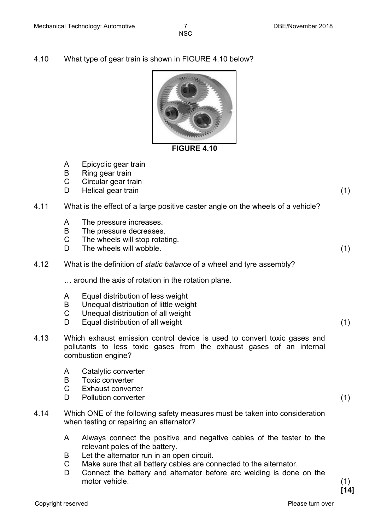4.10 What type of gear train is shown in FIGURE 4.10 below?



# **FIGURE 4.10**

- A Epicyclic gear train
- B Ring gear train
- C Circular gear train
- D. Helical gear train (1) (1)
- 4.11 What is the effect of a large positive caster angle on the wheels of a vehicle?
	- A The pressure increases.
	- B The pressure decreases.
	- $\mathsf{C}$ The wheels will stop rotating.
	- D The wheels will wobble. (1)
- 4.12 What is the definition of *static balance* of a wheel and tyre assembly?

… around the axis of rotation in the rotation plane.

- A Equal distribution of less weight
- B Unequal distribution of little weight
- C Unequal distribution of all weight
- D. Equal distribution of all weight (1)
- 4.13 Which exhaust emission control device is used to convert toxic gases and pollutants to less toxic gases from the exhaust gases of an internal combustion engine?
	- A Catalytic converter
	- B Toxic converter
	- $\overline{C}$ Exhaust converter
	- D<sub>1</sub> Pollution converter (1)
- 4.14 Which ONE of the following safety measures must be taken into consideration when testing or repairing an alternator?
	- A Always connect the positive and negative cables of the tester to the relevant poles of the battery.
	- B Let the alternator run in an open circuit.
	- C Make sure that all battery cables are connected to the alternator.
	- D<sub>1</sub> Connect the battery and alternator before arc welding is done on the motor vehicle. (1)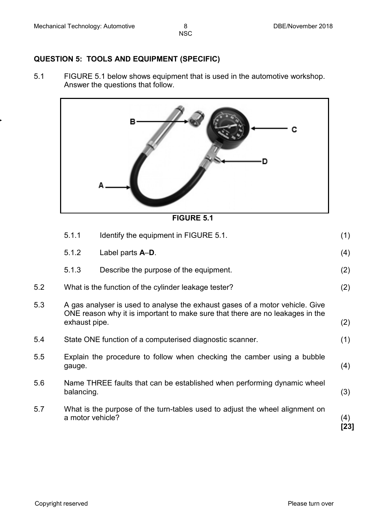# **QUESTION 5: TOOLS AND EQUIPMENT (SPECIFIC)**

5.1 FIGURE 5.1 below shows equipment that is used in the automotive workshop. Answer the questions that follow.



**FIGURE 5.1**

|     | 5.1.1            | Identify the equipment in FIGURE 5.1.                                                                                                                         | (1)         |
|-----|------------------|---------------------------------------------------------------------------------------------------------------------------------------------------------------|-------------|
|     | 5.1.2            | Label parts A-D.                                                                                                                                              | (4)         |
|     | 5.1.3            | Describe the purpose of the equipment.                                                                                                                        | (2)         |
| 5.2 |                  | What is the function of the cylinder leakage tester?                                                                                                          | (2)         |
| 5.3 |                  | A gas analyser is used to analyse the exhaust gases of a motor vehicle. Give<br>ONE reason why it is important to make sure that there are no leakages in the |             |
|     | exhaust pipe.    |                                                                                                                                                               |             |
| 5.4 |                  | State ONE function of a computerised diagnostic scanner.                                                                                                      | (1)         |
| 5.5 | gauge.           | Explain the procedure to follow when checking the camber using a bubble                                                                                       | (4)         |
| 5.6 | balancing.       | Name THREE faults that can be established when performing dynamic wheel                                                                                       | (3)         |
| 5.7 | a motor vehicle? | What is the purpose of the turn-tables used to adjust the wheel alignment on                                                                                  | (4)<br>[23] |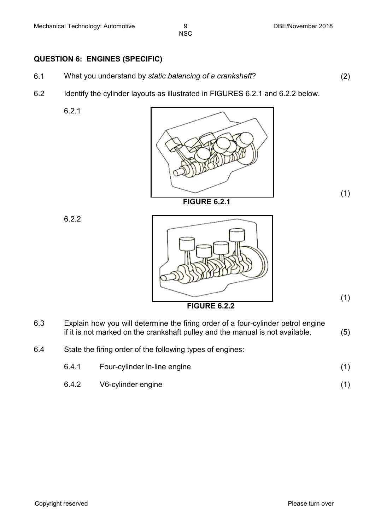#### **QUESTION 6: ENGINES (SPECIFIC)**

- 6.1 What you understand by *static balancing of a crankshaft*? (2)
- 6.2 Identify the cylinder layouts as illustrated in FIGURES 6.2.1 and 6.2.2 below.

6.2.1



622



(1)

(1)

- 6.3 Explain how you will determine the firing order of a four-cylinder petrol engine if it is not marked on the crankshaft pulley and the manual is not available.  $(5)$
- 6.4 State the firing order of the following types of engines:

| 6.4.1 | Four-cylinder in-line engine |  |
|-------|------------------------------|--|
| 6.4.2 | V6-cylinder engine           |  |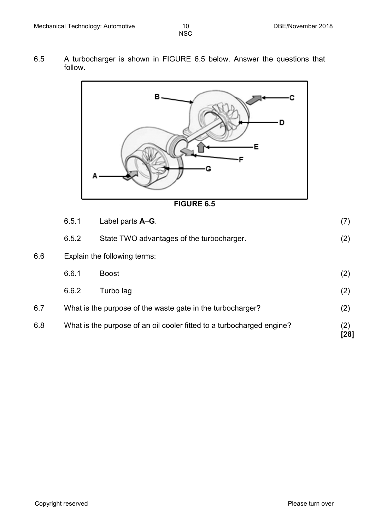6.5 A turbocharger is shown in FIGURE 6.5 below. Answer the questions that follow.



**FIGURE 6.5**

|     | 6.5.1 | Label parts A-G.                                                      | (7)         |
|-----|-------|-----------------------------------------------------------------------|-------------|
|     | 6.5.2 | State TWO advantages of the turbocharger.                             | (2)         |
| 6.6 |       | Explain the following terms:                                          |             |
|     | 6.6.1 | <b>Boost</b>                                                          | (2)         |
|     | 6.6.2 | Turbo lag                                                             | (2)         |
| 6.7 |       | What is the purpose of the waste gate in the turbocharger?            | (2)         |
| 6.8 |       | What is the purpose of an oil cooler fitted to a turbocharged engine? | (2)<br>[28] |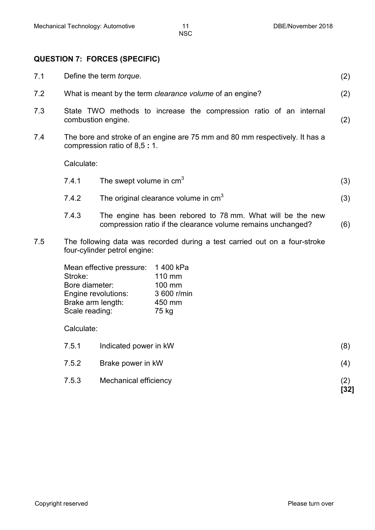# **QUESTION 7: FORCES (SPECIFIC)**

| 7.1 |                                             | Define the term <i>torque</i> .                                      |                                                                                                                            |             |
|-----|---------------------------------------------|----------------------------------------------------------------------|----------------------------------------------------------------------------------------------------------------------------|-------------|
| 7.2 |                                             | What is meant by the term <i>clearance volume</i> of an engine?      |                                                                                                                            |             |
| 7.3 |                                             | combustion engine.                                                   | State TWO methods to increase the compression ratio of an internal                                                         | (2)         |
| 7.4 |                                             | compression ratio of 8,5:1.                                          | The bore and stroke of an engine are 75 mm and 80 mm respectively. It has a                                                |             |
|     | Calculate:                                  |                                                                      |                                                                                                                            |             |
|     | 7.4.1                                       | The swept volume in $cm3$                                            |                                                                                                                            | (3)         |
|     | 7.4.2                                       |                                                                      | The original clearance volume in cm <sup>3</sup>                                                                           | (3)         |
|     | 7.4.3                                       |                                                                      | The engine has been rebored to 78 mm. What will be the new<br>compression ratio if the clearance volume remains unchanged? | (6)         |
| 7.5 |                                             | four-cylinder petrol engine:                                         | The following data was recorded during a test carried out on a four-stroke                                                 |             |
|     | Stroke:<br>Bore diameter:<br>Scale reading: | Mean effective pressure:<br>Engine revolutions:<br>Brake arm length: | 1400 kPa<br>110 mm<br>100 mm<br>3 600 r/min<br>450 mm<br>75 kg                                                             |             |
|     | Calculate:                                  |                                                                      |                                                                                                                            |             |
|     | 7.5.1                                       | Indicated power in kW                                                |                                                                                                                            | (8)         |
|     | 7.5.2                                       | Brake power in kW                                                    |                                                                                                                            | (4)         |
|     | 7.5.3                                       | Mechanical efficiency                                                |                                                                                                                            | (2)<br>[32] |
|     |                                             |                                                                      |                                                                                                                            |             |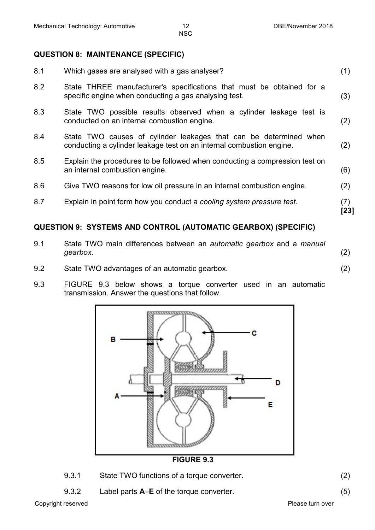## **QUESTION 8: MAINTENANCE (SPECIFIC)**

| 8.1 | Which gases are analysed with a gas analyser?                                                                                             | (1)         |
|-----|-------------------------------------------------------------------------------------------------------------------------------------------|-------------|
| 8.2 | State THREE manufacturer's specifications that must be obtained for a<br>specific engine when conducting a gas analysing test.            | (3)         |
| 8.3 | State TWO possible results observed when a cylinder leakage test is<br>conducted on an internal combustion engine.                        | (2)         |
| 8.4 | State TWO causes of cylinder leakages that can be determined when<br>conducting a cylinder leakage test on an internal combustion engine. | (2)         |
| 8.5 | Explain the procedures to be followed when conducting a compression test on<br>an internal combustion engine.                             | (6)         |
| 8.6 | Give TWO reasons for low oil pressure in an internal combustion engine.                                                                   | (2)         |
| 8.7 | Explain in point form how you conduct a cooling system pressure test.                                                                     | (7)<br>[23] |
|     | QUESTION 9: SYSTEMS AND CONTROL (AUTOMATIC GEARBOX) (SPECIFIC)                                                                            |             |

# 9.1 State TWO main differences between an *automatic gearbox* and a *manual gearbox*. (2)

- 9.2 State TWO advantages of an automatic gearbox. (2)
- 9.3 FIGURE 9.3 below shows a torque converter used in an automatic transmission. Answer the questions that follow.



**FIGURE 9.3**

- 9.3.1 State TWO functions of a torque converter. (2)
- 9.3.2 Label parts **A**–**E** of the torque converter. (5)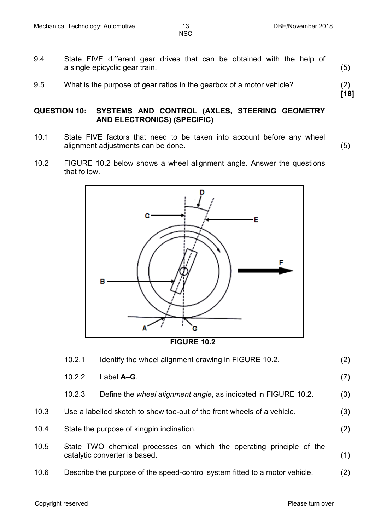**[18]**

NSC

- 9.4 State FIVE different gear drives that can be obtained with the help of a single epicyclic gear train. (5)
- 9.5 What is the purpose of gear ratios in the gearbox of a motor vehicle? (2)

#### **QUESTION 10: SYSTEMS AND CONTROL (AXLES, STEERING GEOMETRY AND ELECTRONICS) (SPECIFIC)**

- 10.1 State FIVE factors that need to be taken into account before any wheel alignment adjustments can be done. (5)
- 10.2 FIGURE 10.2 below shows a wheel alignment angle. Answer the questions that follow.



**FIGURE 10.2**

|      | 10.2.1 | Identify the wheel alignment drawing in FIGURE 10.2.                                                  | (2) |
|------|--------|-------------------------------------------------------------------------------------------------------|-----|
|      | 10.2.2 | Label A-G.                                                                                            | (7) |
|      | 10.2.3 | Define the wheel alignment angle, as indicated in FIGURE 10.2.                                        | (3) |
| 10.3 |        | Use a labelled sketch to show toe-out of the front wheels of a vehicle.                               | (3) |
| 10.4 |        | State the purpose of kingpin inclination.                                                             | (2) |
| 10.5 |        | State TWO chemical processes on which the operating principle of the<br>catalytic converter is based. | (1) |
| 10.6 |        | Describe the purpose of the speed-control system fitted to a motor vehicle.                           | (2) |
|      |        |                                                                                                       |     |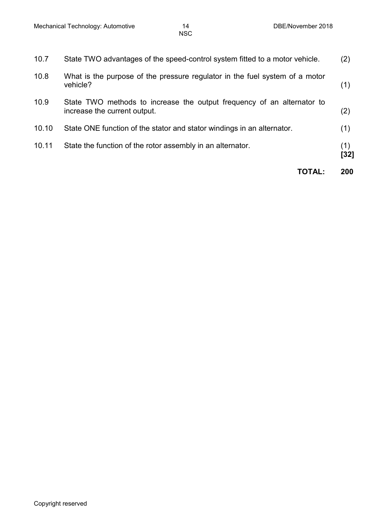|       | TOTAL:                                                                                                 | 200         |
|-------|--------------------------------------------------------------------------------------------------------|-------------|
| 10.11 | State the function of the rotor assembly in an alternator.                                             | (1)<br>[32] |
| 10.10 | State ONE function of the stator and stator windings in an alternator.                                 | (1)         |
| 10.9  | State TWO methods to increase the output frequency of an alternator to<br>increase the current output. | (2)         |
| 10.8  | What is the purpose of the pressure regulator in the fuel system of a motor<br>vehicle?                | (1)         |
| 10.7  | State TWO advantages of the speed-control system fitted to a motor vehicle.                            | (2)         |